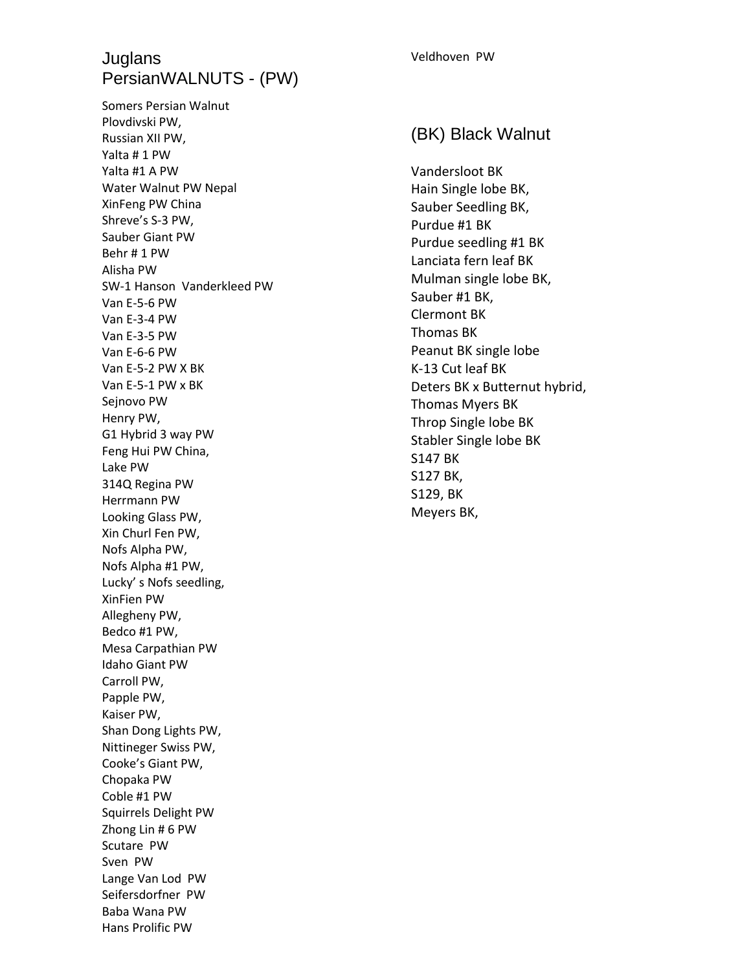## **Juglans** PersianWALNUTS - (PW)

Somers Persian Walnut Plovdivski PW, Russian XII PW, Yalta # 1 PW Yalta #1 A PW Water Walnut PW Nepal XinFeng PW China Shreve's S-3 PW, Sauber Giant PW Behr # 1 PW Alisha PW SW-1 Hanson Vanderkleed PW Van E-5-6 PW Van E-3-4 PW Van E-3-5 PW Van E-6-6 PW Van E-5-2 PW X BK Van E-5-1 PW x BK Sejnovo PW Henry PW, G1 Hybrid 3 way PW Feng Hui PW China, Lake PW 314Q Regina PW Herrmann PW Looking Glass PW, Xin Churl Fen PW, Nofs Alpha PW, Nofs Alpha #1 PW, Lucky' s Nofs seedling, XinFien PW Allegheny PW, Bedco #1 PW, Mesa Carpathian PW Idaho Giant PW Carroll PW, Papple PW, Kaiser PW, Shan Dong Lights PW, Nittineger Swiss PW, Cooke's Giant PW, Chopaka PW Coble #1 PW Squirrels Delight PW Zhong Lin # 6 PW Scutare PW Sven PW Lange Van Lod PW Seifersdorfner PW Baba Wana PW Hans Prolific PW

#### Veldhoven PW

#### (BK) Black Walnut

Vandersloot BK Hain Single lobe BK, Sauber Seedling BK, Purdue #1 BK Purdue seedling #1 BK Lanciata fern leaf BK Mulman single lobe BK, Sauber #1 BK, Clermont BK Thomas BK Peanut BK single lobe K-13 Cut leaf BK Deters BK x Butternut hybrid, Thomas Myers BK Throp Single lobe BK Stabler Single lobe BK S147 BK S127 BK, S129, BK Meyers BK,